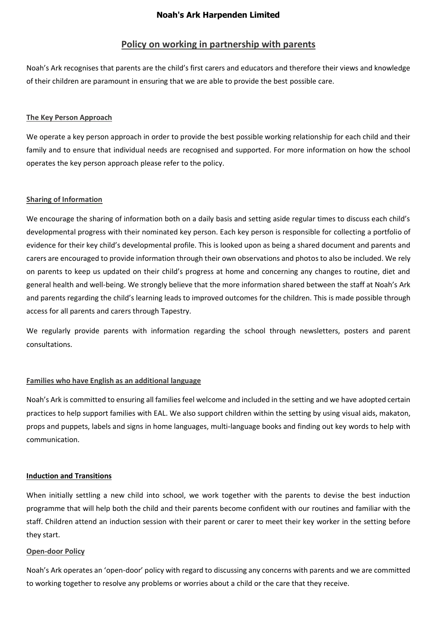# **Policy on working in partnership with parents**

Noah's Ark recognises that parents are the child's first carers and educators and therefore their views and knowledge of their children are paramount in ensuring that we are able to provide the best possible care.

### **The Key Person Approach**

We operate a key person approach in order to provide the best possible working relationship for each child and their family and to ensure that individual needs are recognised and supported. For more information on how the school operates the key person approach please refer to the policy.

### **Sharing of Information**

We encourage the sharing of information both on a daily basis and setting aside regular times to discuss each child's developmental progress with their nominated key person. Each key person is responsible for collecting a portfolio of evidence for their key child's developmental profile. This is looked upon as being a shared document and parents and carers are encouraged to provide information through their own observations and photos to also be included. We rely on parents to keep us updated on their child's progress at home and concerning any changes to routine, diet and general health and well-being. We strongly believe that the more information shared between the staff at Noah's Ark and parents regarding the child's learning leads to improved outcomes for the children. This is made possible through access for all parents and carers through Tapestry.

We regularly provide parents with information regarding the school through newsletters, posters and parent consultations.

### **Families who have English as an additional language**

Noah's Ark is committed to ensuring all families feel welcome and included in the setting and we have adopted certain practices to help support families with EAL. We also support children within the setting by using visual aids, makaton, props and puppets, labels and signs in home languages, multi-language books and finding out key words to help with communication.

### **Induction and Transitions**

When initially settling a new child into school, we work together with the parents to devise the best induction programme that will help both the child and their parents become confident with our routines and familiar with the staff. Children attend an induction session with their parent or carer to meet their key worker in the setting before they start.

#### **Open-door Policy**

Noah's Ark operates an 'open-door' policy with regard to discussing any concerns with parents and we are committed to working together to resolve any problems or worries about a child or the care that they receive.